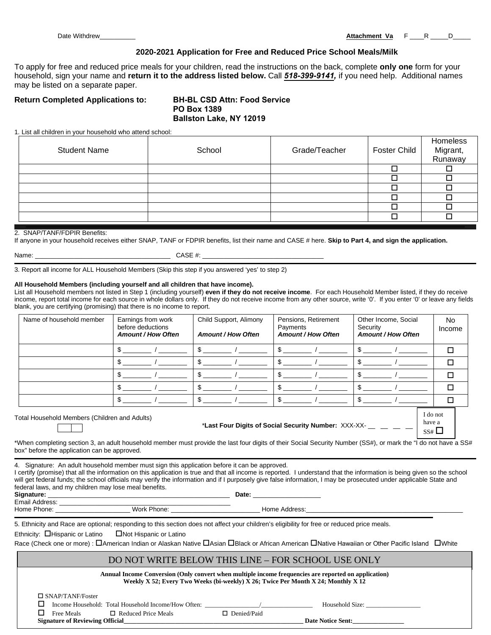Date Withdrew\_\_\_\_\_\_\_\_\_\_ **Attachment Va** F \_\_\_\_R \_\_\_\_\_D\_\_\_\_\_

# **2020-2021 Application for Free and Reduced Price School Meals/Milk**

To apply for free and reduced price meals for your children, read the instructions on the back, complete **only one** form for your household, sign your name and **return it to the address listed below.** Call *518-399-9141,* if you need help. Additional names may be listed on a separate paper.

# **Return Completed Applications to: BH-BL CSD Attn: Food Service**

# **PO Box 1389 Ballston Lake, NY 12019**

1. List all children in your household who attend school:

| <b>Student Name</b> | School | Grade/Teacher | Foster Child | Homeless<br>Migrant,<br>Runaway |
|---------------------|--------|---------------|--------------|---------------------------------|
|                     |        |               |              |                                 |
|                     |        |               |              |                                 |
|                     |        |               |              |                                 |
|                     |        |               |              |                                 |
|                     |        |               |              |                                 |
|                     |        |               |              |                                 |

#### 2. SNAP/TANF/FDPIR Benefits:

If anyone in your household receives either SNAP, TANF or FDPIR benefits, list their name and CASE # here. **Skip to Part 4, and sign the application.**

| Name |  |
|------|--|
|      |  |

 $CASE$  #:  $\_$ 

3. Report all income for ALL Household Members (Skip this step if you answered 'yes' to step 2)

#### **All Household Members (including yourself and all children that have income).**

List all Household members not listed in Step 1 (including yourself) **even if they do not receive income**. For each Household Member listed, if they do receive income, report total income for each source in whole dollars only. If they do not receive income from any other source, write '0'. If you enter '0' or leave any fields blank, you are certifying (promising) that there is no income to report.

| Name of household member | Earnings from work<br>before deductions<br><b>Amount / How Often</b> | Child Support, Alimony<br><b>Amount / How Often</b> | Pensions, Retirement<br>Payments<br><b>Amount / How Often</b> | Other Income, Social<br>Security<br><b>Amount / How Often</b> | No.<br>Income |
|--------------------------|----------------------------------------------------------------------|-----------------------------------------------------|---------------------------------------------------------------|---------------------------------------------------------------|---------------|
|                          |                                                                      |                                                     |                                                               |                                                               |               |
|                          |                                                                      |                                                     |                                                               |                                                               | ⊓             |
|                          |                                                                      |                                                     |                                                               |                                                               | □             |
|                          |                                                                      |                                                     |                                                               |                                                               | ⊓             |
|                          |                                                                      |                                                     |                                                               |                                                               | □             |
|                          | $\cdots$                                                             |                                                     |                                                               | I do not                                                      |               |

Total Household Members (Children and Adults)

\*Last Four Digits of Social Security Number: XXX-XX-

have a  $SS#$ 

\*When completing section 3, an adult household member must provide the last four digits of their Social Security Number (SS#), or mark the "I do not have a SS# box" before the application can be approved.

4. Signature: An adult household member must sign this application before it can be approved.

I certify (promise) that all the information on this application is true and that all income is reported. I understand that the information is being given so the school will get federal funds; the school officials may verify the information and if I purposely give false information, I may be prosecuted under applicable State and federal laws, and my children may lose meal benefits. **Signature:** \_\_\_\_\_\_\_\_\_\_\_\_\_\_\_\_\_\_\_\_\_\_\_\_\_\_\_\_\_\_\_\_\_\_\_\_\_\_\_\_\_\_\_\_\_\_\_\_\_\_\_ **Date:** \_\_\_\_\_\_\_\_\_\_\_\_\_\_\_\_\_\_\_

|  |  | signature:              |
|--|--|-------------------------|
|  |  | $\Gamma$ as all Andeles |

Email Address:

Home Phone: \_\_\_\_\_\_\_\_\_\_\_\_\_\_\_\_\_\_\_\_\_ Work Phone: \_\_\_\_\_\_\_\_\_\_\_\_\_\_\_\_\_\_\_\_\_\_\_\_\_ Home Address:\_\_\_\_\_\_\_\_\_\_\_\_\_\_\_\_\_\_\_\_\_\_\_\_\_\_\_\_\_\_\_\_\_\_\_\_\_\_\_\_\_\_\_\_

5. Ethnicity and Race are optional; responding to this section does not affect your children's eligibility for free or reduced price meals.

Ethnicity:  $\Box$  Hispanic or Latino  $\Box$  Not Hispanic or Latino

Race (Check one or more) :  $\Box$ American Indian or Alaskan Native  $\Box$ Asian  $\Box$ Black or African American  $\Box$ Native Hawaiian or Other Pacific Island  $\Box$ White

# DO NOT WRITE BELOW THIS LINE – FOR SCHOOL USE ONLY

| Annual Income Conversion (Only convert when multiple income frequencies are reported on application)<br>Weekly X 52; Every Two Weeks (bi-weekly) X 26; Twice Per Month X 24; Monthly X 12 |                                                     |                    |                          |  |  |  |
|-------------------------------------------------------------------------------------------------------------------------------------------------------------------------------------------|-----------------------------------------------------|--------------------|--------------------------|--|--|--|
| $\Box$ SNAP/TANF/Foster                                                                                                                                                                   |                                                     |                    |                          |  |  |  |
|                                                                                                                                                                                           | Income Household: Total Household Income/How Often: |                    | Household Size:          |  |  |  |
| Free Meals                                                                                                                                                                                | $\Box$ Reduced Price Meals                          | $\Box$ Denied/Paid |                          |  |  |  |
| <b>Signature of Reviewing Official</b>                                                                                                                                                    |                                                     |                    | <b>Date Notice Sent:</b> |  |  |  |